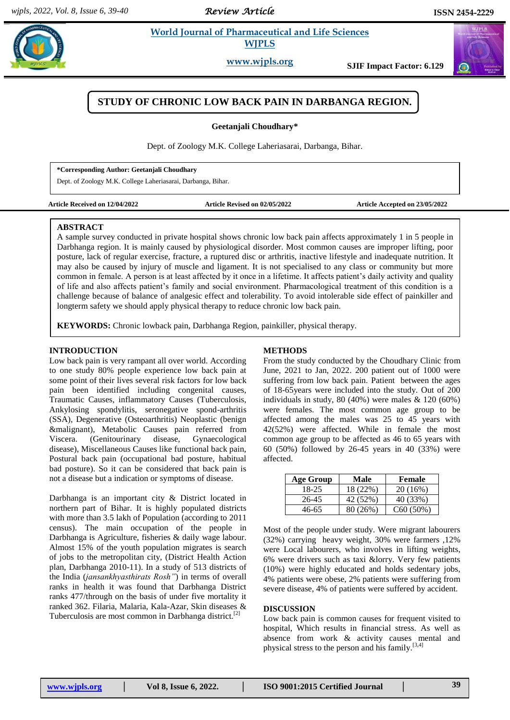# **Example 3** *E* **World Journal of Pharmaceutical and Life Sciences <b>A** *Research* **WJPLS**

**www.wjpls.org SJIF Impact Factor: 6.129**

# **STUDY OF CHRONIC LOW BACK PAIN IN DARBANGA REGION.**

**Geetanjali Choudhary\***

Dept. of Zoology M.K. College Laheriasarai, Darbanga, Bihar.

#### **\*Corresponding Author: Geetanjali Choudhary**

Dept. of Zoology M.K. College Laheriasarai, Darbanga, Bihar.

**Article Received on 12/04/2022 Article Revised on 02/05/2022 Article Accepted on 23/05/2022**

#### **ABSTRACT**

A sample survey conducted in private hospital shows chronic low back pain affects approximately 1 in 5 people in Darbhanga region. It is mainly caused by physiological disorder. Most common causes are improper lifting, poor posture, lack of regular exercise, fracture, a ruptured disc or arthritis, inactive lifestyle and inadequate nutrition. It may also be caused by injury of muscle and ligament. It is not specialised to any class or community but more common in female. A person is at least affected by it once in a lifetime. It affects patient's daily activity and quality of life and also affects patient's family and social environment. Pharmacological treatment of this condition is a challenge because of balance of analgesic effect and tolerability. To avoid intolerable side effect of painkiller and longterm safety we should apply physical therapy to reduce chronic low back pain.

**KEYWORDS:** Chronic lowback pain, Darbhanga Region, painkiller, physical therapy.

### **INTRODUCTION**

Low back pain is very rampant all over world. According to one study 80% people experience low back pain at some point of their lives several risk factors for low back pain been identified including congenital causes, Traumatic Causes, inflammatory Causes (Tuberculosis, Ankylosing spondylitis, seronegative spond-arthritis (SSA), Degenerative (Osteoarthritis) Neoplastic (benign &malignant), Metabolic Causes pain referred from Viscera. (Genitourinary disease, Gynaecological disease), Miscellaneous Causes like functional back pain, Postural back pain (occupational bad posture, habitual bad posture). So it can be considered that back pain is not a disease but a indication or symptoms of disease.

Darbhanga is an important city & District located in northern part of Bihar. It is highly populated districts with more than 3.5 lakh of Population (according to 2011 census). The main occupation of the people in Darbhanga is Agriculture, fisheries & daily wage labour. Almost 15% of the youth population migrates is search of jobs to the metropolitan city, (District Health Action plan, Darbhanga 2010-11). In a study of 513 districts of the India (*jansankhyasthirats Rosh"*) in terms of overall ranks in health it was found that Darbhanga District ranks 477/through on the basis of under five mortality it ranked 362. Filaria, Malaria, Kala-Azar, Skin diseases & Tuberculosis are most common in Darbhanga district.<sup>[2]</sup>

## **METHODS**

From the study conducted by the Choudhary Clinic from June, 2021 to Jan, 2022. 200 patient out of 1000 were suffering from low back pain. Patient between the ages of 18-65years were included into the study. Out of 200 individuals in study, 80 (40%) were males & 120 (60%) were females. The most common age group to be affected among the males was 25 to 45 years with 42(52%) were affected. While in female the most common age group to be affected as 46 to 65 years with 60 (50%) followed by 26-45 years in 40 (33%) were affected.

| Age Group | Male     | <b>Female</b> |
|-----------|----------|---------------|
| 18-25     | 18 (22%) | 20(16%)       |
| 26-45     | 42 (52%) | 40 (33%)      |
| 46-65     | 80 (26%) | C60(50%)      |

Most of the people under study. Were migrant labourers (32%) carrying heavy weight, 30% were farmers ,12% were Local labourers, who involves in lifting weights, 6% were drivers such as taxi &lorry. Very few patients (10%) were highly educated and holds sedentary jobs, 4% patients were obese, 2% patients were suffering from severe disease, 4% of patients were suffered by accident.

#### **DISCUSSION**

Low back pain is common causes for frequent visited to hospital, Which results in financial stress. As well as absence from work & activity causes mental and physical stress to the person and his family.[3,4]